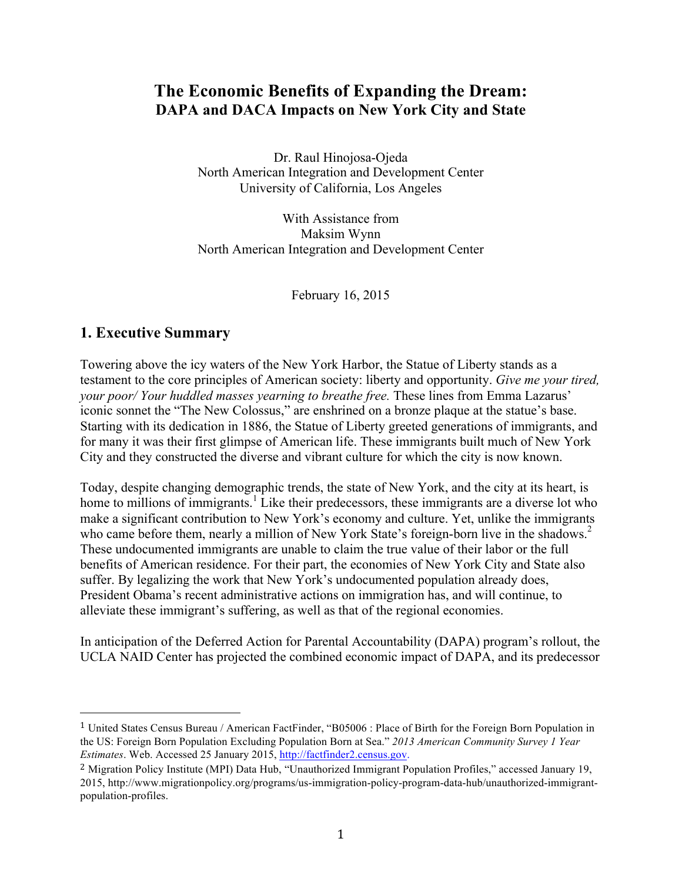# **The Economic Benefits of Expanding the Dream: DAPA and DACA Impacts on New York City and State**

Dr. Raul Hinojosa-Ojeda North American Integration and Development Center University of California, Los Angeles

With Assistance from Maksim Wynn North American Integration and Development Center

February 16, 2015

## **1. Executive Summary**

 

Towering above the icy waters of the New York Harbor, the Statue of Liberty stands as a testament to the core principles of American society: liberty and opportunity. *Give me your tired, your poor/ Your huddled masses yearning to breathe free.* These lines from Emma Lazarus' iconic sonnet the "The New Colossus," are enshrined on a bronze plaque at the statue's base. Starting with its dedication in 1886, the Statue of Liberty greeted generations of immigrants, and for many it was their first glimpse of American life. These immigrants built much of New York City and they constructed the diverse and vibrant culture for which the city is now known.

Today, despite changing demographic trends, the state of New York, and the city at its heart, is home to millions of immigrants.<sup>1</sup> Like their predecessors, these immigrants are a diverse lot who make a significant contribution to New York's economy and culture. Yet, unlike the immigrants who came before them, nearly a million of New York State's foreign-born live in the shadows.<sup>2</sup> These undocumented immigrants are unable to claim the true value of their labor or the full benefits of American residence. For their part, the economies of New York City and State also suffer. By legalizing the work that New York's undocumented population already does, President Obama's recent administrative actions on immigration has, and will continue, to alleviate these immigrant's suffering, as well as that of the regional economies.

In anticipation of the Deferred Action for Parental Accountability (DAPA) program's rollout, the UCLA NAID Center has projected the combined economic impact of DAPA, and its predecessor

<sup>1</sup> United States Census Bureau / American FactFinder, "B05006 : Place of Birth for the Foreign Born Population in the US: Foreign Born Population Excluding Population Born at Sea." *2013 American Community Survey 1 Year Estimates*. Web. Accessed 25 January 2015, http://factfinder2.census.gov.

<sup>2</sup> Migration Policy Institute (MPI) Data Hub, "Unauthorized Immigrant Population Profiles," accessed January 19, 2015, http://www.migrationpolicy.org/programs/us-immigration-policy-program-data-hub/unauthorized-immigrantpopulation-profiles.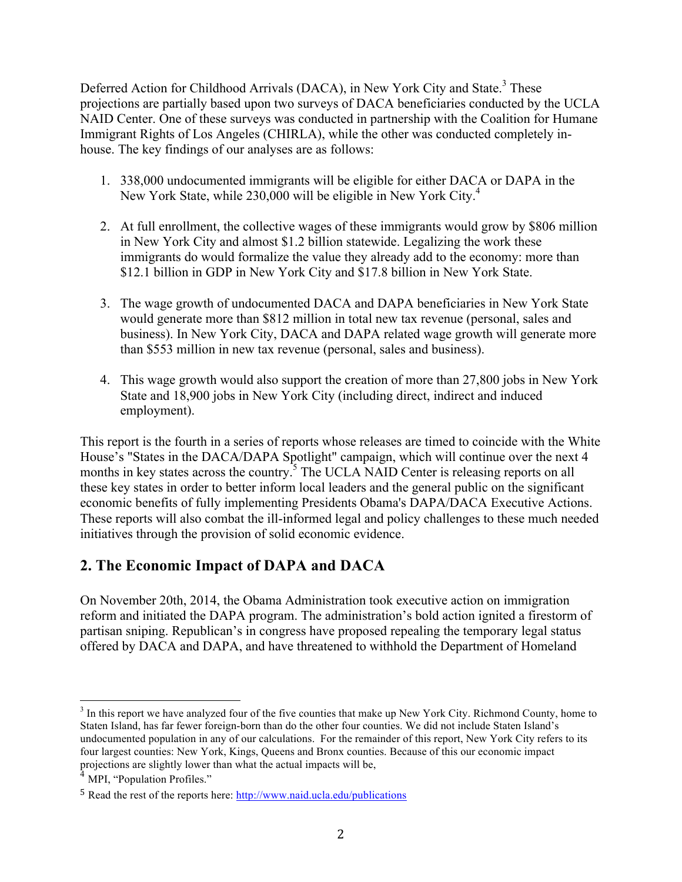Deferred Action for Childhood Arrivals (DACA), in New York City and State.<sup>3</sup> These projections are partially based upon two surveys of DACA beneficiaries conducted by the UCLA NAID Center. One of these surveys was conducted in partnership with the Coalition for Humane Immigrant Rights of Los Angeles (CHIRLA), while the other was conducted completely inhouse. The key findings of our analyses are as follows:

- 1. 338,000 undocumented immigrants will be eligible for either DACA or DAPA in the New York State, while 230,000 will be eligible in New York City.<sup>4</sup>
- 2. At full enrollment, the collective wages of these immigrants would grow by \$806 million in New York City and almost \$1.2 billion statewide. Legalizing the work these immigrants do would formalize the value they already add to the economy: more than \$12.1 billion in GDP in New York City and \$17.8 billion in New York State.
- 3. The wage growth of undocumented DACA and DAPA beneficiaries in New York State would generate more than \$812 million in total new tax revenue (personal, sales and business). In New York City, DACA and DAPA related wage growth will generate more than \$553 million in new tax revenue (personal, sales and business).
- 4. This wage growth would also support the creation of more than 27,800 jobs in New York State and 18,900 jobs in New York City (including direct, indirect and induced employment).

This report is the fourth in a series of reports whose releases are timed to coincide with the White House's "States in the DACA/DAPA Spotlight" campaign, which will continue over the next 4 months in key states across the country.<sup>5</sup> The UCLA NAID Center is releasing reports on all these key states in order to better inform local leaders and the general public on the significant economic benefits of fully implementing Presidents Obama's DAPA/DACA Executive Actions. These reports will also combat the ill-informed legal and policy challenges to these much needed initiatives through the provision of solid economic evidence.

# **2. The Economic Impact of DAPA and DACA**

On November 20th, 2014, the Obama Administration took executive action on immigration reform and initiated the DAPA program. The administration's bold action ignited a firestorm of partisan sniping. Republican's in congress have proposed repealing the temporary legal status offered by DACA and DAPA, and have threatened to withhold the Department of Homeland

<sup>&</sup>lt;sup>3</sup> In this report we have analyzed four of the five counties that make up New York City. Richmond County, home to Staten Island, has far fewer foreign-born than do the other four counties. We did not include Staten Island's undocumented population in any of our calculations. For the remainder of this report, New York City refers to its four largest counties: New York, Kings, Queens and Bronx counties. Because of this our economic impact projections are slightly lower than what the actual impacts will be,

MPI, "Population Profiles."

<sup>5</sup> Read the rest of the reports here: http://www.naid.ucla.edu/publications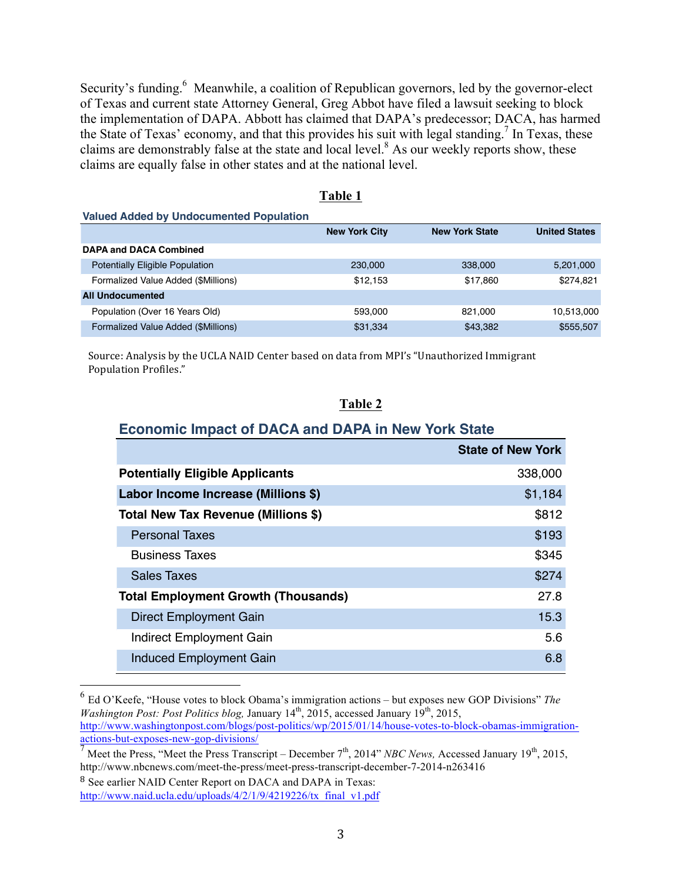Security's funding.<sup>6</sup> Meanwhile, a coalition of Republican governors, led by the governor-elect of Texas and current state Attorney General, Greg Abbot have filed a lawsuit seeking to block the implementation of DAPA. Abbott has claimed that DAPA's predecessor; DACA, has harmed the State of Texas' economy, and that this provides his suit with legal standing.<sup>7</sup> In Texas, these claims are demonstrably false at the state and local level. $8$  As our weekly reports show, these claims are equally false in other states and at the national level.

|--|

**Valued Added by Undocumented Population**

|                                        | <b>New York City</b> | <b>New York State</b> | <b>United States</b> |
|----------------------------------------|----------------------|-----------------------|----------------------|
| <b>DAPA and DACA Combined</b>          |                      |                       |                      |
| <b>Potentially Eligible Population</b> | 230,000              | 338,000               | 5,201,000            |
| Formalized Value Added (\$Millions)    | \$12.153             | \$17,860              | \$274,821            |
| <b>All Undocumented</b>                |                      |                       |                      |
| Population (Over 16 Years Old)         | 593,000              | 821.000               | 10,513,000           |
| Formalized Value Added (\$Millions)    | \$31,334             | \$43,382              | \$555,507            |

Source: Analysis by the UCLA NAID Center based on data from MPI's "Unauthorized Immigrant Population Profiles."

#### **Table 2**

#### **Economic Impact of DACA and DAPA in New York State**

|                                            | <b>State of New York</b> |
|--------------------------------------------|--------------------------|
| <b>Potentially Eligible Applicants</b>     | 338,000                  |
| Labor Income Increase (Millions \$)        | \$1,184                  |
| Total New Tax Revenue (Millions \$)        | \$812                    |
| <b>Personal Taxes</b>                      | \$193                    |
| <b>Business Taxes</b>                      | \$345                    |
| <b>Sales Taxes</b>                         | \$274                    |
| <b>Total Employment Growth (Thousands)</b> | 27.8                     |
| Direct Employment Gain                     | 15.3                     |
| Indirect Employment Gain                   | 5.6                      |
| Induced Employment Gain                    | 6.8                      |
|                                            |                          |

 <sup>6</sup> Ed O'Keefe, "House votes to block Obama's immigration actions – but exposes new GOP Divisions" *The Washington Post: Post Politics blog, January 14<sup>th</sup>, 2015, accessed January 19<sup>th</sup>, 2015,* http://www.washingtonpost.com/blogs/post-politics/wp/2015/01/14/house-votes-to-block-obamas-immigration-

actions-but-exposes-new-gop-divisions/

 $\frac{7}{7}$  Meet the Press, "Meet the Press Transcript – December  $7<sup>th</sup>$ , 2014" *NBC News*, Accessed January 19<sup>th</sup>, 2015, http://www.nbcnews.com/meet-the-press/meet-press-transcript-december-7-2014-n263416

<sup>8</sup> See earlier NAID Center Report on DACA and DAPA in Texas:

http://www.naid.ucla.edu/uploads/4/2/1/9/4219226/tx\_final\_v1.pdf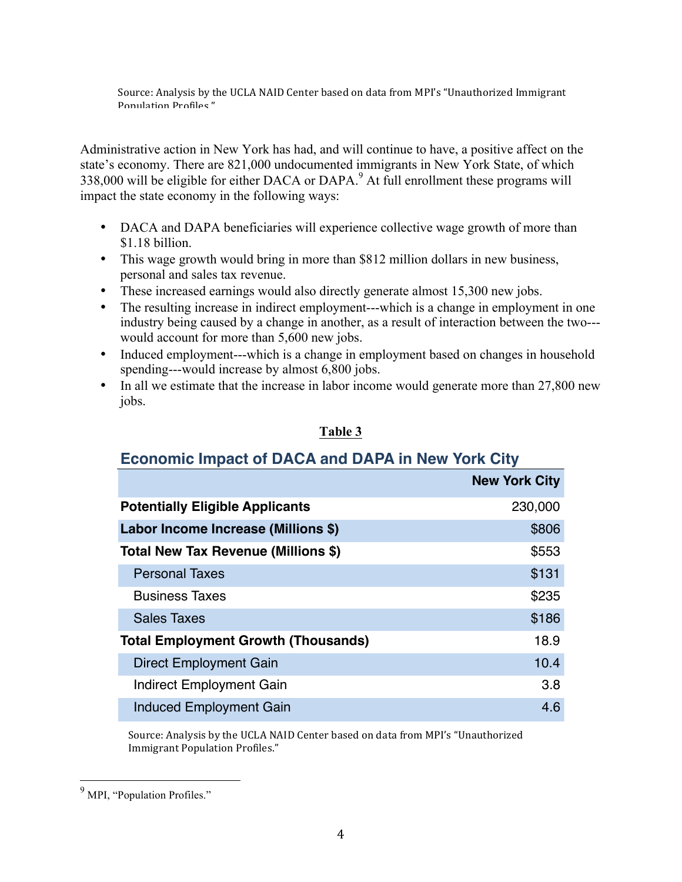Source: Analysis by the UCLA NAID Center based on data from MPI's "Unauthorized Immigrant Population Profiles"

Administrative action in New York has had, and will continue to have, a positive affect on the state's economy. There are 821,000 undocumented immigrants in New York State, of which 338,000 will be eligible for either DACA or DAPA.<sup>9</sup> At full enrollment these programs will impact the state economy in the following ways:

- DACA and DAPA beneficiaries will experience collective wage growth of more than \$1.18 billion.
- This wage growth would bring in more than \$812 million dollars in new business, personal and sales tax revenue.
- These increased earnings would also directly generate almost 15,300 new jobs.
- The resulting increase in indirect employment---which is a change in employment in one industry being caused by a change in another, as a result of interaction between the two-- would account for more than 5,600 new jobs.
- Induced employment---which is a change in employment based on changes in household spending---would increase by almost 6,800 jobs.
- In all we estimate that the increase in labor income would generate more than 27,800 new jobs.

#### **Table 3**

## **Economic Impact of DACA and DAPA in New York City**

|                                            | <b>New York City</b> |
|--------------------------------------------|----------------------|
| <b>Potentially Eligible Applicants</b>     | 230,000              |
| Labor Income Increase (Millions \$)        | \$806                |
| Total New Tax Revenue (Millions \$)        | \$553                |
| <b>Personal Taxes</b>                      | \$131                |
| <b>Business Taxes</b>                      | \$235                |
| <b>Sales Taxes</b>                         | \$186                |
| <b>Total Employment Growth (Thousands)</b> | 18.9                 |
| Direct Employment Gain                     | 10.4                 |
| <b>Indirect Employment Gain</b>            | 3.8                  |
| <b>Induced Employment Gain</b>             | 4.6                  |

Source: Analysis by the UCLA NAID Center based on data from MPI's "Unauthorized Immigrant Population Profiles."

<sup>&</sup>lt;sup>9</sup> MPI, "Population Profiles."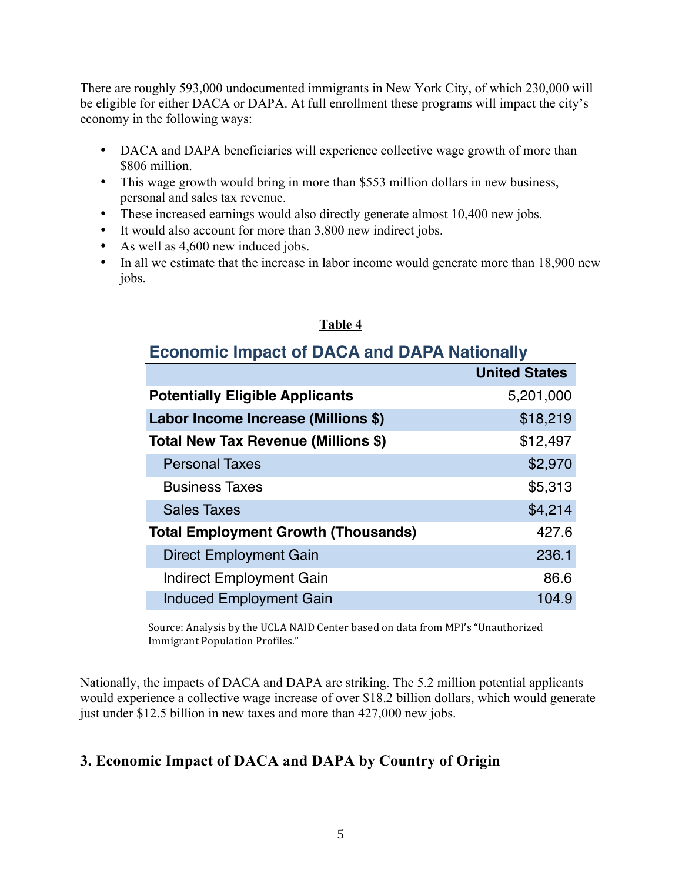There are roughly 593,000 undocumented immigrants in New York City, of which 230,000 will be eligible for either DACA or DAPA. At full enrollment these programs will impact the city's economy in the following ways:

- DACA and DAPA beneficiaries will experience collective wage growth of more than \$806 million.
- This wage growth would bring in more than \$553 million dollars in new business, personal and sales tax revenue.
- These increased earnings would also directly generate almost 10,400 new jobs.
- It would also account for more than 3,800 new indirect jobs.
- As well as 4,600 new induced jobs.
- In all we estimate that the increase in labor income would generate more than 18,900 new jobs.

### **Table 4**

# **Economic Impact of DACA and DAPA Nationally**

|                                            | <b>United States</b> |
|--------------------------------------------|----------------------|
| <b>Potentially Eligible Applicants</b>     | 5,201,000            |
| Labor Income Increase (Millions \$)        | \$18,219             |
| Total New Tax Revenue (Millions \$)        | \$12,497             |
| <b>Personal Taxes</b>                      | \$2,970              |
| <b>Business Taxes</b>                      | \$5,313              |
| <b>Sales Taxes</b>                         | \$4,214              |
| <b>Total Employment Growth (Thousands)</b> | 427.6                |
| Direct Employment Gain                     | 236.1                |
| Indirect Employment Gain                   | 86.6                 |
| <b>Induced Employment Gain</b>             | 104.9                |

Source: Analysis by the UCLA NAID Center based on data from MPI's "Unauthorized Immigrant Population Profiles."

Nationally, the impacts of DACA and DAPA are striking. The 5.2 million potential applicants would experience a collective wage increase of over \$18.2 billion dollars, which would generate just under \$12.5 billion in new taxes and more than 427,000 new jobs.

# **3. Economic Impact of DACA and DAPA by Country of Origin**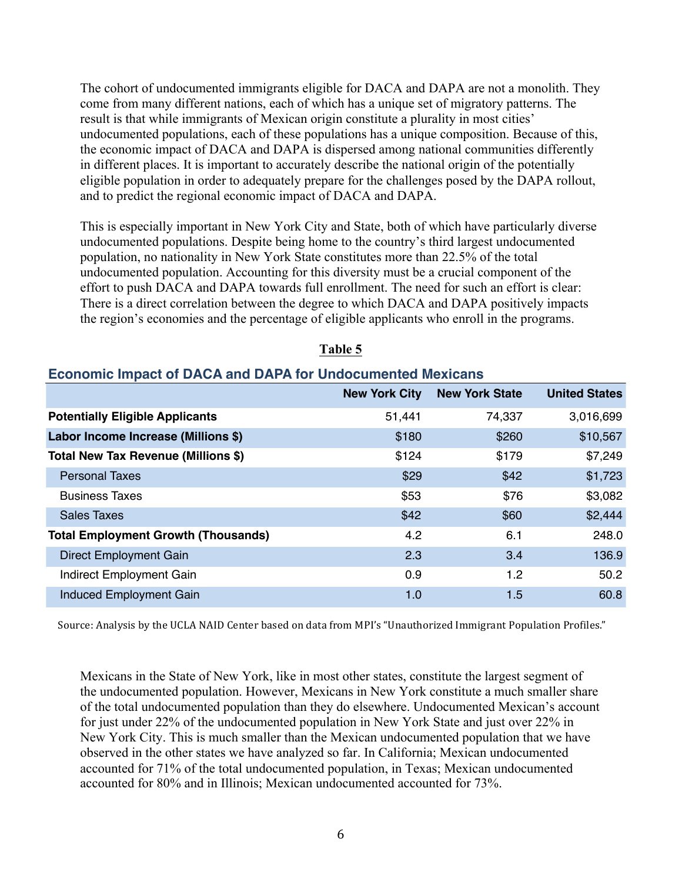The cohort of undocumented immigrants eligible for DACA and DAPA are not a monolith. They come from many different nations, each of which has a unique set of migratory patterns. The result is that while immigrants of Mexican origin constitute a plurality in most cities' undocumented populations, each of these populations has a unique composition. Because of this, the economic impact of DACA and DAPA is dispersed among national communities differently in different places. It is important to accurately describe the national origin of the potentially eligible population in order to adequately prepare for the challenges posed by the DAPA rollout, and to predict the regional economic impact of DACA and DAPA.

This is especially important in New York City and State, both of which have particularly diverse undocumented populations. Despite being home to the country's third largest undocumented population, no nationality in New York State constitutes more than 22.5% of the total undocumented population. Accounting for this diversity must be a crucial component of the effort to push DACA and DAPA towards full enrollment. The need for such an effort is clear: There is a direct correlation between the degree to which DACA and DAPA positively impacts the region's economies and the percentage of eligible applicants who enroll in the programs.

| ECONOMIC IMPACT OF DAVA AND DAFA TOF UNQUUITENTED MEXICANS |                      |                       |                      |
|------------------------------------------------------------|----------------------|-----------------------|----------------------|
|                                                            | <b>New York City</b> | <b>New York State</b> | <b>United States</b> |
| <b>Potentially Eligible Applicants</b>                     | 51,441               | 74,337                | 3,016,699            |
| Labor Income Increase (Millions \$)                        | \$180                | \$260                 | \$10,567             |
| Total New Tax Revenue (Millions \$)                        | \$124                | \$179                 | \$7,249              |
| <b>Personal Taxes</b>                                      | \$29                 | \$42                  | \$1,723              |
| <b>Business Taxes</b>                                      | \$53                 | \$76                  | \$3,082              |
| <b>Sales Taxes</b>                                         | \$42                 | \$60                  | \$2,444              |
| <b>Total Employment Growth (Thousands)</b>                 | 4.2                  | 6.1                   | 248.0                |
| <b>Direct Employment Gain</b>                              | 2.3                  | 3.4                   | 136.9                |
| <b>Indirect Employment Gain</b>                            | 0.9                  | 1.2                   | 50.2                 |
| <b>Induced Employment Gain</b>                             | 1.0                  | 1.5                   | 60.8                 |

#### **Table 5**

## **Economic Impact of DACA and DAPA for Undocumented Mexicans**

Source: Analysis by the UCLA NAID Center based on data from MPI's "Unauthorized Immigrant Population Profiles."

Mexicans in the State of New York, like in most other states, constitute the largest segment of the undocumented population. However, Mexicans in New York constitute a much smaller share of the total undocumented population than they do elsewhere. Undocumented Mexican's account for just under 22% of the undocumented population in New York State and just over 22% in New York City. This is much smaller than the Mexican undocumented population that we have observed in the other states we have analyzed so far. In California; Mexican undocumented accounted for 71% of the total undocumented population, in Texas; Mexican undocumented accounted for 80% and in Illinois; Mexican undocumented accounted for 73%.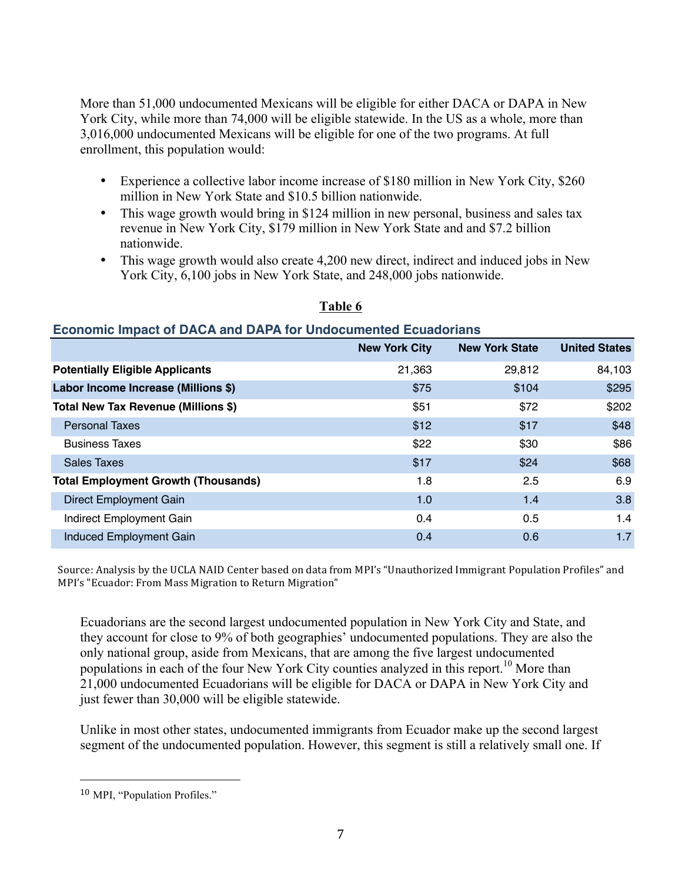More than 51,000 undocumented Mexicans will be eligible for either DACA or DAPA in New York City, while more than 74,000 will be eligible statewide. In the US as a whole, more than 3,016,000 undocumented Mexicans will be eligible for one of the two programs. At full enrollment, this population would:

- Experience a collective labor income increase of \$180 million in New York City, \$260 million in New York State and \$10.5 billion nationwide.
- This wage growth would bring in \$124 million in new personal, business and sales tax revenue in New York City, \$179 million in New York State and and \$7.2 billion nationwide.
- This wage growth would also create 4,200 new direct, indirect and induced jobs in New York City, 6,100 jobs in New York State, and 248,000 jobs nationwide.

|                                            | <b>New York City</b> | <b>New York State</b> | <b>United States</b> |  |
|--------------------------------------------|----------------------|-----------------------|----------------------|--|
| <b>Potentially Eligible Applicants</b>     | 21,363               | 29,812                | 84,103               |  |
| Labor Income Increase (Millions \$)        | \$75                 | \$104                 | \$295                |  |
| Total New Tax Revenue (Millions \$)        | \$51                 | \$72                  | \$202                |  |
| <b>Personal Taxes</b>                      | \$12                 | \$17                  | \$48                 |  |
| <b>Business Taxes</b>                      | \$22                 | \$30                  | \$86                 |  |
| <b>Sales Taxes</b>                         | \$17                 | \$24                  | \$68                 |  |
| <b>Total Employment Growth (Thousands)</b> | 1.8                  | 2.5                   | 6.9                  |  |
| <b>Direct Employment Gain</b>              | 1.0                  | 1.4                   | 3.8                  |  |
| Indirect Employment Gain                   | 0.4                  | 0.5                   | 1.4                  |  |
| <b>Induced Employment Gain</b>             | 0.4                  | 0.6                   | 1.7                  |  |

#### **Table 6**

# **Economic Impact of DACA and DAPA for Undocumented Ecuadorians**

Source: Analysis by the UCLA NAID Center based on data from MPI's "Unauthorized Immigrant Population Profiles" and MPI's "Ecuador: From Mass Migration to Return Migration"

Ecuadorians are the second largest undocumented population in New York City and State, and they account for close to 9% of both geographies' undocumented populations. They are also the only national group, aside from Mexicans, that are among the five largest undocumented populations in each of the four New York City counties analyzed in this report.<sup>10</sup> More than 21,000 undocumented Ecuadorians will be eligible for DACA or DAPA in New York City and just fewer than 30,000 will be eligible statewide.

Unlike in most other states, undocumented immigrants from Ecuador make up the second largest segment of the undocumented population. However, this segment is still a relatively small one. If

 

<sup>10</sup> MPI, "Population Profiles."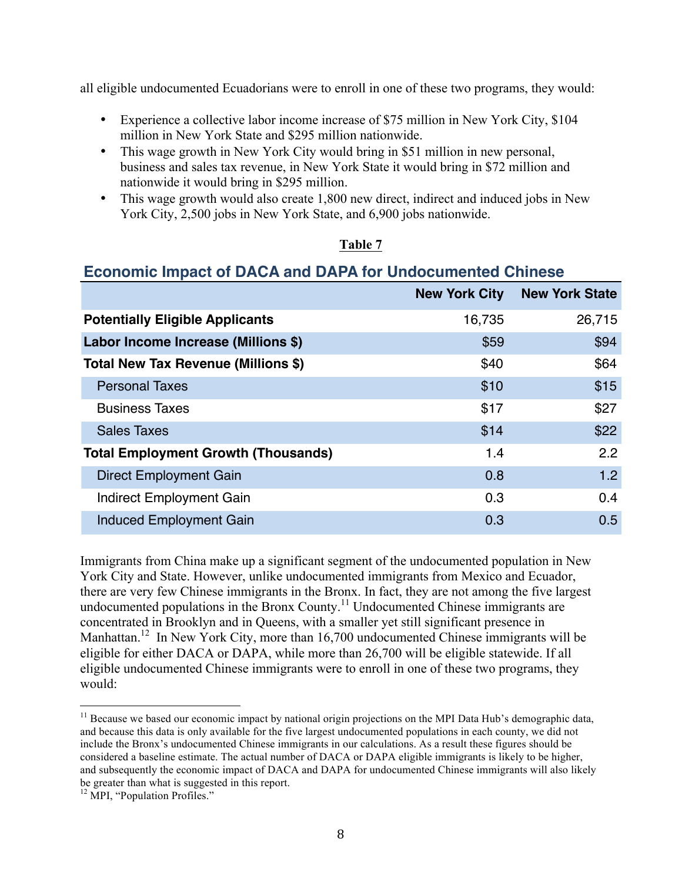all eligible undocumented Ecuadorians were to enroll in one of these two programs, they would:

- Experience a collective labor income increase of \$75 million in New York City, \$104 million in New York State and \$295 million nationwide.
- This wage growth in New York City would bring in \$51 million in new personal, business and sales tax revenue, in New York State it would bring in \$72 million and nationwide it would bring in \$295 million.
- This wage growth would also create 1,800 new direct, indirect and induced jobs in New York City, 2,500 jobs in New York State, and 6,900 jobs nationwide.

#### **Table 7**

## **Economic Impact of DACA and DAPA for Undocumented Chinese**

|                                            | <b>New York City</b> | <b>New York State</b> |
|--------------------------------------------|----------------------|-----------------------|
| <b>Potentially Eligible Applicants</b>     | 16,735               | 26,715                |
| Labor Income Increase (Millions \$)        | \$59                 | \$94                  |
| Total New Tax Revenue (Millions \$)        | \$40                 | \$64                  |
| <b>Personal Taxes</b>                      | \$10                 | \$15                  |
| <b>Business Taxes</b>                      | \$17                 | \$27                  |
| <b>Sales Taxes</b>                         | \$14                 | \$22                  |
| <b>Total Employment Growth (Thousands)</b> | 1.4                  | 2.2                   |
| <b>Direct Employment Gain</b>              | 0.8                  | 1.2                   |
| Indirect Employment Gain                   | 0.3                  | 0.4                   |
| <b>Induced Employment Gain</b>             | 0.3                  | 0.5                   |

Immigrants from China make up a significant segment of the undocumented population in New York City and State. However, unlike undocumented immigrants from Mexico and Ecuador, there are very few Chinese immigrants in the Bronx. In fact, they are not among the five largest undocumented populations in the Bronx County.<sup>11</sup> Undocumented Chinese immigrants are concentrated in Brooklyn and in Queens, with a smaller yet still significant presence in Manhattan.<sup>12</sup> In New York City, more than 16,700 undocumented Chinese immigrants will be eligible for either DACA or DAPA, while more than 26,700 will be eligible statewide. If all eligible undocumented Chinese immigrants were to enroll in one of these two programs, they would:

<sup>&</sup>lt;sup>11</sup> Because we based our economic impact by national origin projections on the MPI Data Hub's demographic data, and because this data is only available for the five largest undocumented populations in each county, we did not include the Bronx's undocumented Chinese immigrants in our calculations. As a result these figures should be considered a baseline estimate. The actual number of DACA or DAPA eligible immigrants is likely to be higher, and subsequently the economic impact of DACA and DAPA for undocumented Chinese immigrants will also likely be greater than what is suggested in this report.<br><sup>12</sup> MPI, "Population Profiles."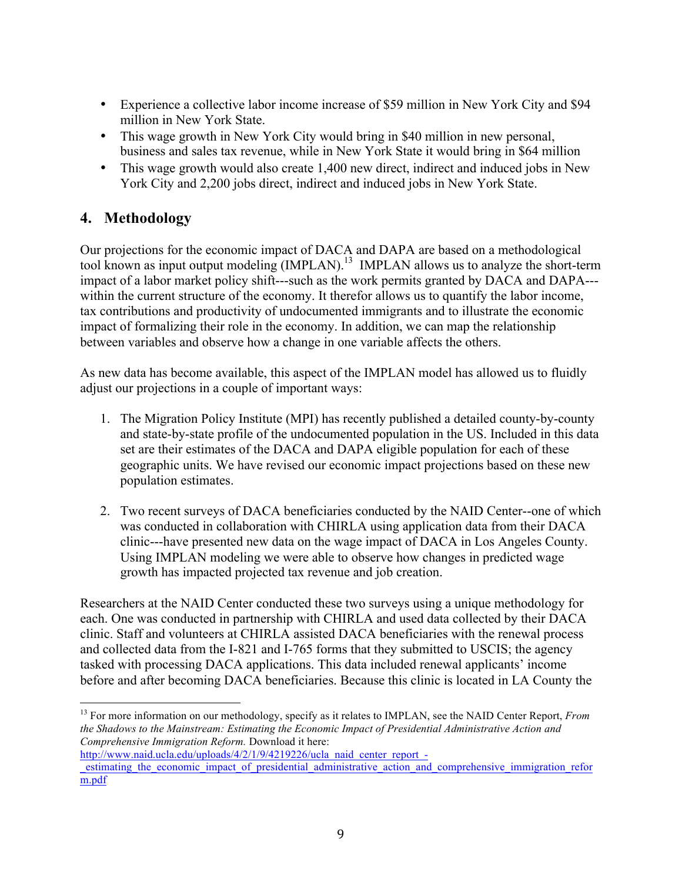- Experience a collective labor income increase of \$59 million in New York City and \$94 million in New York State.
- This wage growth in New York City would bring in \$40 million in new personal, business and sales tax revenue, while in New York State it would bring in \$64 million
- This wage growth would also create 1,400 new direct, indirect and induced jobs in New York City and 2,200 jobs direct, indirect and induced jobs in New York State.

# **4. Methodology**

Our projections for the economic impact of DACA and DAPA are based on a methodological tool known as input output modeling (IMPLAN).<sup>13</sup> IMPLAN allows us to analyze the short-term impact of a labor market policy shift---such as the work permits granted by DACA and DAPA-- within the current structure of the economy. It therefor allows us to quantify the labor income, tax contributions and productivity of undocumented immigrants and to illustrate the economic impact of formalizing their role in the economy. In addition, we can map the relationship between variables and observe how a change in one variable affects the others.

As new data has become available, this aspect of the IMPLAN model has allowed us to fluidly adjust our projections in a couple of important ways:

- 1. The Migration Policy Institute (MPI) has recently published a detailed county-by-county and state-by-state profile of the undocumented population in the US. Included in this data set are their estimates of the DACA and DAPA eligible population for each of these geographic units. We have revised our economic impact projections based on these new population estimates.
- 2. Two recent surveys of DACA beneficiaries conducted by the NAID Center--one of which was conducted in collaboration with CHIRLA using application data from their DACA clinic---have presented new data on the wage impact of DACA in Los Angeles County. Using IMPLAN modeling we were able to observe how changes in predicted wage growth has impacted projected tax revenue and job creation.

Researchers at the NAID Center conducted these two surveys using a unique methodology for each. One was conducted in partnership with CHIRLA and used data collected by their DACA clinic. Staff and volunteers at CHIRLA assisted DACA beneficiaries with the renewal process and collected data from the I-821 and I-765 forms that they submitted to USCIS; the agency tasked with processing DACA applications. This data included renewal applicants' income before and after becoming DACA beneficiaries. Because this clinic is located in LA County the

 <sup>13</sup> For more information on our methodology, specify as it relates to IMPLAN, see the NAID Center Report, *From the Shadows to the Mainstream: Estimating the Economic Impact of Presidential Administrative Action and Comprehensive Immigration Reform.* Download it here:

http://www.naid.ucla.edu/uploads/4/2/1/9/4219226/ucla\_naid\_center\_report\_estimating the economic impact of presidential administrative action and comprehensive immigration refor m.pdf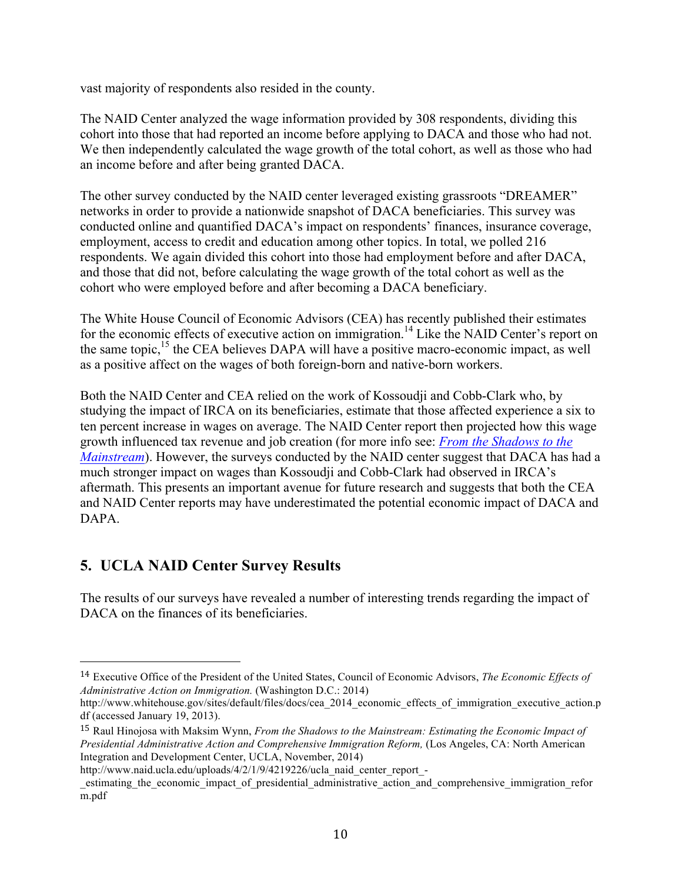vast majority of respondents also resided in the county.

The NAID Center analyzed the wage information provided by 308 respondents, dividing this cohort into those that had reported an income before applying to DACA and those who had not. We then independently calculated the wage growth of the total cohort, as well as those who had an income before and after being granted DACA.

The other survey conducted by the NAID center leveraged existing grassroots "DREAMER" networks in order to provide a nationwide snapshot of DACA beneficiaries. This survey was conducted online and quantified DACA's impact on respondents' finances, insurance coverage, employment, access to credit and education among other topics. In total, we polled 216 respondents. We again divided this cohort into those had employment before and after DACA, and those that did not, before calculating the wage growth of the total cohort as well as the cohort who were employed before and after becoming a DACA beneficiary.

The White House Council of Economic Advisors (CEA) has recently published their estimates for the economic effects of executive action on immigration.<sup>14</sup> Like the NAID Center's report on the same topic,<sup>15</sup> the CEA believes DAPA will have a positive macro-economic impact, as well as a positive affect on the wages of both foreign-born and native-born workers.

Both the NAID Center and CEA relied on the work of Kossoudji and Cobb-Clark who, by studying the impact of IRCA on its beneficiaries, estimate that those affected experience a six to ten percent increase in wages on average. The NAID Center report then projected how this wage growth influenced tax revenue and job creation (for more info see: *From the Shadows to the Mainstream*). However, the surveys conducted by the NAID center suggest that DACA has had a much stronger impact on wages than Kossoudji and Cobb-Clark had observed in IRCA's aftermath. This presents an important avenue for future research and suggests that both the CEA and NAID Center reports may have underestimated the potential economic impact of DACA and DAPA.

# **5. UCLA NAID Center Survey Results**

 

The results of our surveys have revealed a number of interesting trends regarding the impact of DACA on the finances of its beneficiaries.

<sup>14</sup> Executive Office of the President of the United States, Council of Economic Advisors, *The Economic Effects of Administrative Action on Immigration.* (Washington D.C.: 2014)

http://www.whitehouse.gov/sites/default/files/docs/cea\_2014\_economic\_effects\_of\_immigration\_executive\_action.p df (accessed January 19, 2013).

<sup>15</sup> Raul Hinojosa with Maksim Wynn, *From the Shadows to the Mainstream: Estimating the Economic Impact of Presidential Administrative Action and Comprehensive Immigration Reform,* (Los Angeles, CA: North American Integration and Development Center, UCLA, November, 2014)

http://www.naid.ucla.edu/uploads/4/2/1/9/4219226/ucla\_naid\_center\_report\_-

\_estimating\_the\_economic\_impact\_of\_presidential\_administrative\_action\_and\_comprehensive\_immigration\_refor m.pdf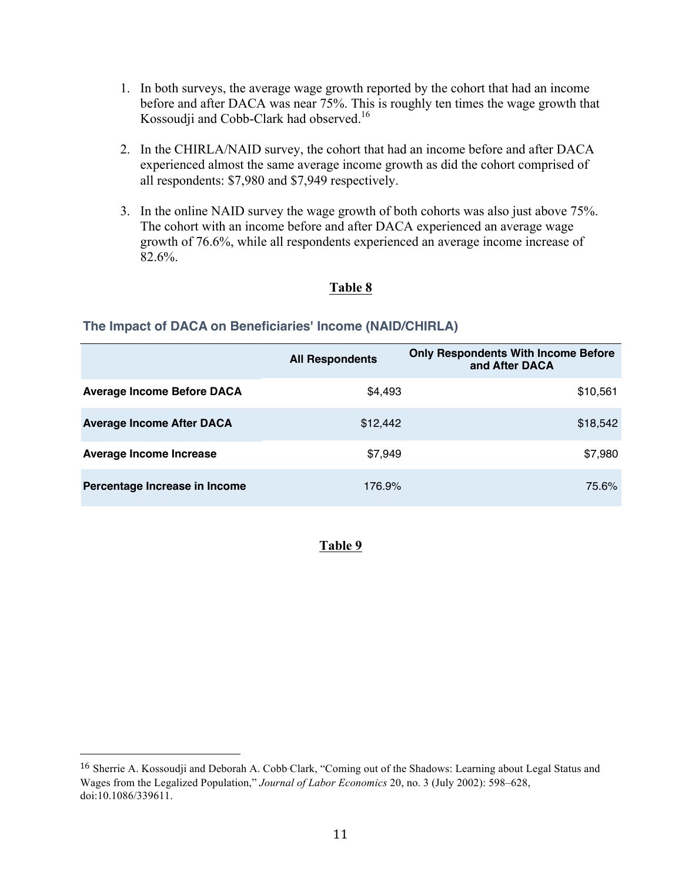- 1. In both surveys, the average wage growth reported by the cohort that had an income before and after DACA was near 75%. This is roughly ten times the wage growth that Kossoudji and Cobb-Clark had observed.<sup>16</sup>
- 2. In the CHIRLA/NAID survey, the cohort that had an income before and after DACA experienced almost the same average income growth as did the cohort comprised of all respondents: \$7,980 and \$7,949 respectively.
- 3. In the online NAID survey the wage growth of both cohorts was also just above 75%. The cohort with an income before and after DACA experienced an average wage growth of 76.6%, while all respondents experienced an average income increase of 82.6%.

#### **Table 8**

#### **The Impact of DACA on Beneficiaries' Income (NAID/CHIRLA)**

|                                   | <b>All Respondents</b> | <b>Only Respondents With Income Before</b><br>and After DACA |
|-----------------------------------|------------------------|--------------------------------------------------------------|
| <b>Average Income Before DACA</b> | \$4,493                | \$10,561                                                     |
| <b>Average Income After DACA</b>  | \$12,442               | \$18,542                                                     |
| Average Income Increase           | \$7,949                | \$7,980                                                      |
| Percentage Increase in Income     | 176.9%                 | 75.6%                                                        |

#### **Table 9**

 

<sup>16</sup> Sherrie A. Kossoudji and Deborah A. Cobb*‐*Clark, "Coming out of the Shadows: Learning about Legal Status and Wages from the Legalized Population," *Journal of Labor Economics* 20, no. 3 (July 2002): 598–628, doi:10.1086/339611.